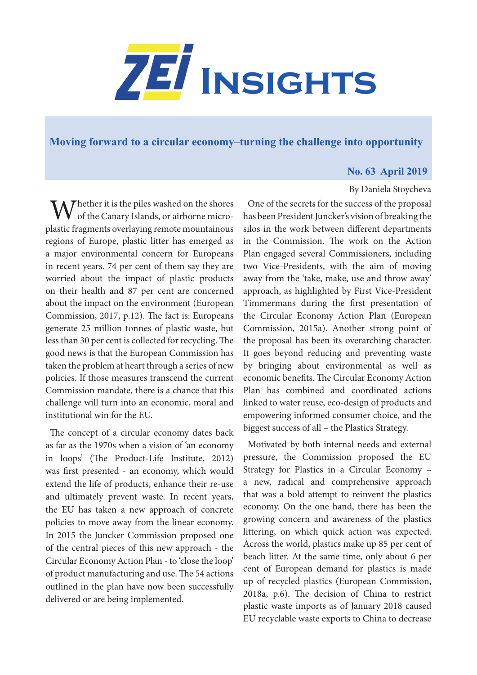

**[Moving forward to a circular economy–turning the challenge into opportunity](https://www.zei.uni-bonn.de/publications/zei-insights)**

## **No. 63 April 2019**

By Daniela Stoycheva

## $M^{\text{hether it is the piles washed on the shoes}}$ of the Canary Islands, or airborne microplastic fragments overlaying remote mountainous regions of Europe, plastic litter has emerged as a major environmental concern for Europeans in recent years. 74 per cent of them say they are worried about the impact of plastic products on their health and 87 per cent are concerned about the impact on the environment (European Commission, 2017, p.12). The fact is: Europeans generate 25 million tonnes of plastic waste, but less than 30 per cent is collected for recycling. The good news is that the European Commission has taken the problem at heart through a series of new policies. If those measures transcend the current Commission mandate, there is a chance that this challenge will turn into an economic, moral and institutional win for the EU.

The concept of a circular economy dates back as far as the 1970s when a vision of 'an economy in loops' (The Product-Life Institute, 2012) was first presented - an economy, which would extend the life of products, enhance their re-use and ultimately prevent waste. In recent years, the EU has taken a new approach of concrete policies to move away from the linear economy. In 2015 the Juncker Commission proposed one of the central pieces of this new approach - the Circular Economy Action Plan - to 'close the loop' of product manufacturing and use. The 54 actions outlined in the plan have now been successfully delivered or are being implemented.

One of the secrets for the success of the proposal has been President Juncker's vision of breaking the

silos in the work between different departments in the Commission. The work on the Action Plan engaged several Commissioners, including two Vice-Presidents, with the aim of moving away from the 'take, make, use and throw away' approach, as highlighted by First Vice-President Timmermans during the first presentation of the Circular Economy Action Plan (European Commission, 2015a). Another strong point of the proposal has been its overarching character. It goes beyond reducing and preventing waste by bringing about environmental as well as economic benefits. The Circular Economy Action Plan has combined and coordinated actions linked to water reuse, eco-design of products and empowering informed consumer choice, and the biggest success of all – the Plastics Strategy.

Motivated by both internal needs and external pressure, the Commission proposed the EU Strategy for Plastics in a Circular Economy – a new, radical and comprehensive approach that was a bold attempt to reinvent the plastics economy. On the one hand, there has been the growing concern and awareness of the plastics littering, on which quick action was expected. Across the world, plastics make up 85 per cent of beach litter. At the same time, only about 6 per cent of European demand for plastics is made up of recycled plastics (European Commission, 2018a, p.6). The decision of China to restrict plastic waste imports as of January 2018 caused EU recyclable waste exports to China to decrease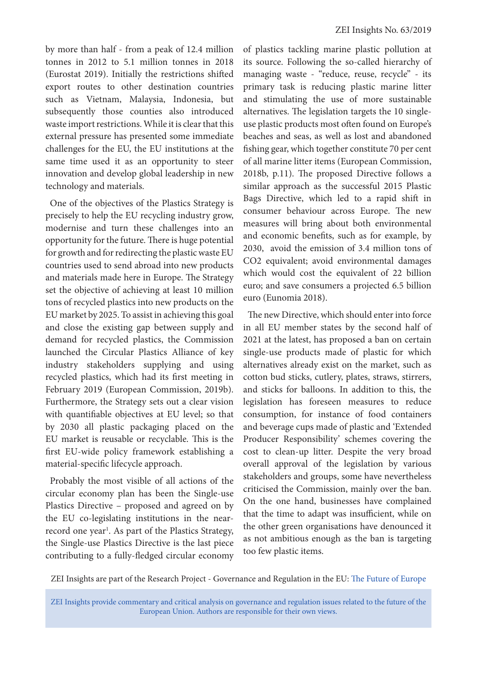by more than half - from a peak of 12.4 million tonnes in 2012 to 5.1 million tonnes in 2018 (Eurostat 2019). Initially the restrictions shifted export routes to other destination countries such as Vietnam, Malaysia, Indonesia, but subsequently those counties also introduced waste import restrictions. While it is clear that this external pressure has presented some immediate challenges for the EU, the EU institutions at the same time used it as an opportunity to steer innovation and develop global leadership in new technology and materials.

One of the objectives of the Plastics Strategy is precisely to help the EU recycling industry grow, modernise and turn these challenges into an opportunity for the future. There is huge potential for growth and for redirecting the plastic waste EU countries used to send abroad into new products and materials made here in Europe. The Strategy set the objective of achieving at least 10 million tons of recycled plastics into new products on the EU market by 2025. To assist in achieving this goal and close the existing gap between supply and demand for recycled plastics, the Commission launched the Circular Plastics Alliance of key industry stakeholders supplying and using recycled plastics, which had its first meeting in February 2019 (European Commission, 2019b). Furthermore, the Strategy sets out a clear vision with quantifiable objectives at EU level; so that by 2030 all plastic packaging placed on the EU market is reusable or recyclable. This is the first EU-wide policy framework establishing a material-specific lifecycle approach.

Probably the most visible of all actions of the circular economy plan has been the Single-use Plastics Directive – proposed and agreed on by the EU co-legislating institutions in the nearrecord one year<sup>1</sup>. As part of the Plastics Strategy, the Single-use Plastics Directive is the last piece contributing to a fully-fledged circular economy

of plastics tackling marine plastic pollution at its source. Following the so-called hierarchy of managing waste - "reduce, reuse, recycle" - its primary task is reducing plastic marine litter and stimulating the use of more sustainable alternatives. The legislation targets the 10 singleuse plastic products most often found on Europe's beaches and seas, as well as lost and abandoned fishing gear, which together constitute 70 per cent of all marine litter items (European Commission, 2018b, p.11). The proposed Directive follows a similar approach as the successful 2015 Plastic Bags Directive, which led to a rapid shift in consumer behaviour across Europe. The new measures will bring about both environmental and economic benefits, such as for example, by 2030, avoid the emission of 3.4 million tons of CO2 equivalent; avoid environmental damages which would cost the equivalent of 22 billion euro; and save consumers a projected 6.5 billion euro (Eunomia 2018).

The new Directive, which should enter into force in all EU member states by the second half of 2021 at the latest, has proposed a ban on certain single-use products made of plastic for which alternatives already exist on the market, such as cotton bud sticks, cutlery, plates, straws, stirrers, and sticks for balloons. In addition to this, the legislation has foreseen measures to reduce consumption, for instance of food containers and beverage cups made of plastic and 'Extended Producer Responsibility' schemes covering the cost to clean-up litter. Despite the very broad overall approval of the legislation by various stakeholders and groups, some have nevertheless criticised the Commission, mainly over the ban. On the one hand, businesses have complained that the time to adapt was insufficient, while on the other green organisations have denounced it as not ambitious enough as the ban is targeting too few plastic items.

ZEI Insights are part of the Research Project - Governance and Regulation in the EU: [The Future of Europe](https://www.zei.uni-bonn.de/research/governance-and-regulation?set_language=en)

ZEI Insights provide commentary and critical analysis on governance and regulation issues related to the future of the European Union. Authors are responsible for their own views.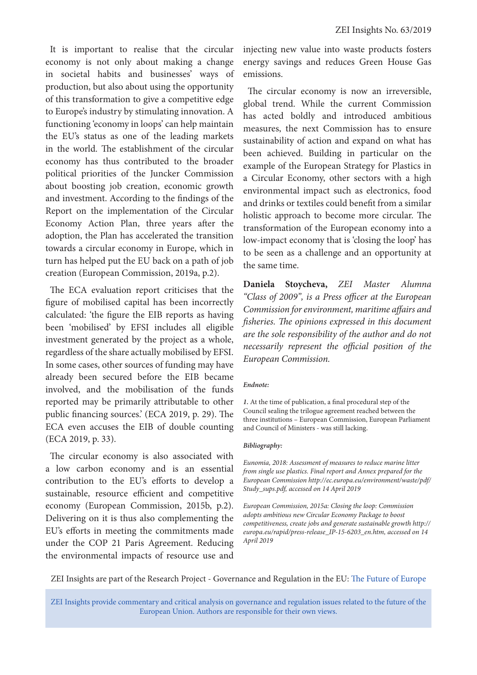It is important to realise that the circular economy is not only about making a change in societal habits and businesses' ways of production, but also about using the opportunity of this transformation to give a competitive edge to Europe's industry by stimulating innovation. A functioning 'economy in loops' can help maintain the EU's status as one of the leading markets in the world. The establishment of the circular economy has thus contributed to the broader political priorities of the Juncker Commission about boosting job creation, economic growth and investment. According to the findings of the Report on the implementation of the Circular Economy Action Plan, three years after the adoption, the Plan has accelerated the transition towards a circular economy in Europe, which in turn has helped put the EU back on a path of job creation (European Commission, 2019a, p.2).

The ECA evaluation report criticises that the figure of mobilised capital has been incorrectly calculated: 'the figure the EIB reports as having been 'mobilised' by EFSI includes all eligible investment generated by the project as a whole, regardless of the share actually mobilised by EFSI. In some cases, other sources of funding may have already been secured before the EIB became involved, and the mobilisation of the funds reported may be primarily attributable to other public financing sources.' (ECA 2019, p. 29). The ECA even accuses the EIB of double counting (ECA 2019, p. 33).

The circular economy is also associated with a low carbon economy and is an essential contribution to the EU's efforts to develop a sustainable, resource efficient and competitive economy (European Commission, 2015b, p.2). Delivering on it is thus also complementing the EU's efforts in meeting the commitments made under the COP 21 Paris Agreement. Reducing the environmental impacts of resource use and injecting new value into waste products fosters energy savings and reduces Green House Gas emissions.

The circular economy is now an irreversible, global trend. While the current Commission has acted boldly and introduced ambitious measures, the next Commission has to ensure sustainability of action and expand on what has been achieved. Building in particular on the example of the European Strategy for Plastics in a Circular Economy, other sectors with a high environmental impact such as electronics, food and drinks or textiles could benefit from a similar holistic approach to become more circular. The transformation of the European economy into a low-impact economy that is 'closing the loop' has to be seen as a challenge and an opportunity at the same time.

**Daniela Stoycheva,** *ZEI Master Alumna "Class of 2009", is a Press officer at the European Commission for environment, maritime affairs and fisheries. The opinions expressed in this document are the sole responsibility of the author and do not necessarily represent the official position of the European Commission.* 

## *Endnote:*

*1.* At the time of publication, a final procedural step of the Council sealing the trilogue agreement reached between the three institutions – European Commission, European Parliament and Council of Ministers - was still lacking.

## *Bibliography:*

*Eunomia, 2018: Assessment of measures to reduce marine litter from single use plastics. Final report and Annex prepared for the European Commission http://ec.europa.eu/environment/waste/pdf/ Study\_sups.pdf, accessed on 14 April 2019*

*European Commission, 2015a: Closing the loop: Commission adopts ambitious new Circular Economy Package to boost competitiveness, create jobs and generate sustainable growth http:// europa.eu/rapid/press-release\_IP-15-6203\_en.htm, accessed on 14 April 2019*

ZEI Insights are part of the Research Project - Governance and Regulation in the EU: [The Future of Europe](https://www.zei.uni-bonn.de/research/governance-and-regulation?set_language=en)

ZEI Insights provide commentary and critical analysis on governance and regulation issues related to the future of the European Union. Authors are responsible for their own views.